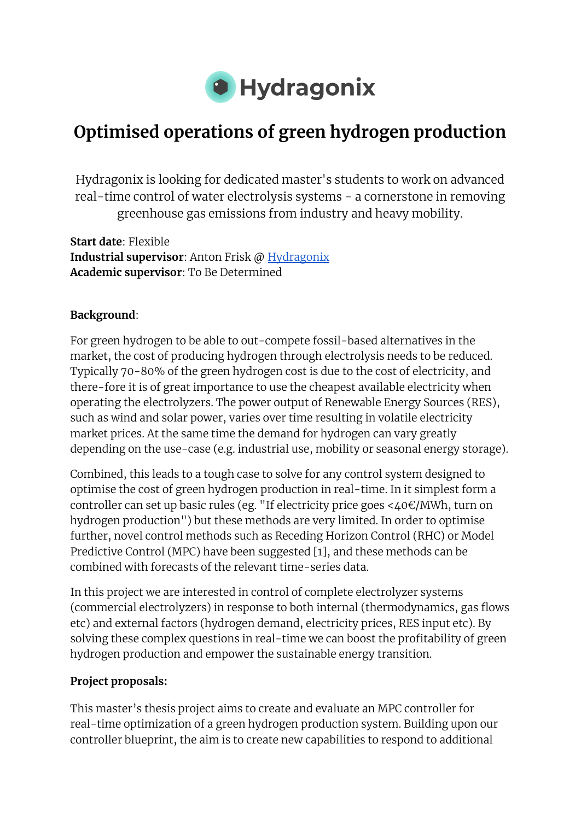

# **Optimised operations of green hydrogen production**

Hydragonix is looking for dedicated master's students to work on advanced real-time control of water electrolysis systems - a cornerstone in removing greenhouse gas emissions from industry and heavy mobility.

**Start date**: Flexible **Industrial supervisor**: Anton Frisk @ [Hydragonix](http://www.hydragonix.com) **Academic supervisor**: To Be Determined

### **Background**:

For green hydrogen to be able to out-compete fossil-based alternatives in the market, the cost of producing hydrogen through electrolysis needs to be reduced. Typically 70-80% of the green hydrogen cost is due to the cost of electricity, and there-fore it is of great importance to use the cheapest available electricity when operating the electrolyzers. The power output of Renewable Energy Sources (RES), such as wind and solar power, varies over time resulting in volatile electricity market prices. At the same time the demand for hydrogen can vary greatly depending on the use-case (e.g. industrial use, mobility or seasonal energy storage).

Combined, this leads to a tough case to solve for any control system designed to optimise the cost of green hydrogen production in real-time. In it simplest form a controller can set up basic rules (eg. "If electricity price goes <40€/MWh, turn on hydrogen production") but these methods are very limited. In order to optimise further, novel control methods such as Receding Horizon Control (RHC) or Model Predictive Control (MPC) have been suggested [1], and these methods can be combined with forecasts of the relevant time-series data.

In this project we are interested in control of complete electrolyzer systems (commercial electrolyzers) in response to both internal (thermodynamics, gas flows etc) and external factors (hydrogen demand, electricity prices, RES input etc). By solving these complex questions in real-time we can boost the profitability of green hydrogen production and empower the sustainable energy transition.

#### **Project proposals:**

This master's thesis project aims to create and evaluate an MPC controller for real-time optimization of a green hydrogen production system. Building upon our controller blueprint, the aim is to create new capabilities to respond to additional